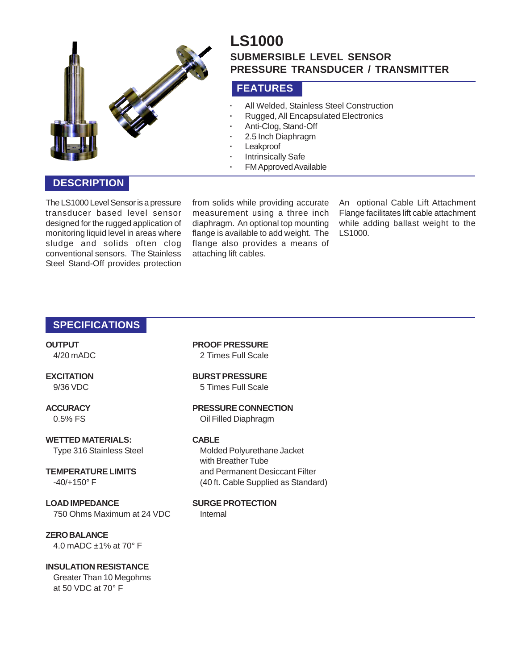

# **LS1000 SUBMERSIBLE LEVEL SENSOR PRESSURE TRANSDUCER / TRANSMITTER**

# **FEATURES**

- **·** All Welded, Stainless Steel Construction
- **·** Rugged, All Encapsulated Electronics
- **·** Anti-Clog, Stand-Off
- **·** 2.5 Inch Diaphragm
- **·** Leakproof
- **·** Intrinsically Safe
- **·** FM Approved Available

## **DESCRIPTION**

The LS1000 Level Sensor is a pressure transducer based level sensor designed for the rugged application of monitoring liquid level in areas where sludge and solids often clog conventional sensors. The Stainless Steel Stand-Off provides protection

from solids while providing accurate measurement using a three inch diaphragm. An optional top mounting flange is available to add weight. The flange also provides a means of attaching lift cables.

An optional Cable Lift Attachment Flange facilitates lift cable attachment while adding ballast weight to the LS1000.

## **SPECIFICATIONS**

**OUTPUT** 4/20 mADC

# **EXCITATION**

9/36 VDC

#### **ACCURACY**

0.5% FS

**WETTED MATERIALS:** Type 316 Stainless Steel

**TEMPERATURE LIMITS** -40/+150° F

**LOAD IMPEDANCE** 750 Ohms Maximum at 24 VDC

**ZERO BALANCE** 4.0 mADC ±1% at 70° F

#### **INSULATION RESISTANCE** Greater Than 10 Megohms at 50 VDC at 70° F

**PROOF PRESSURE** 2 Times Full Scale

**BURST PRESSURE** 5 Times Full Scale

**PRESSURE CONNECTION** Oil Filled Diaphragm

#### **CABLE**

Molded Polyurethane Jacket with Breather Tube and Permanent Desiccant Filter (40 ft. Cable Supplied as Standard)

**SURGE PROTECTION**

Internal